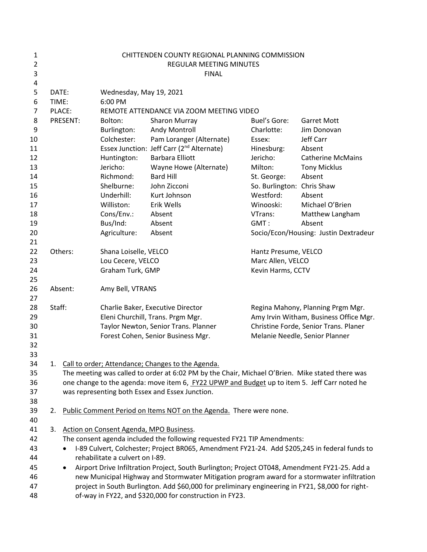| 1<br>$\overline{2}$ | CHITTENDEN COUNTY REGIONAL PLANNING COMMISSION<br>REGULAR MEETING MINUTES                                                                            |                                                                        |                                                                                                   |                                        |                                       |  |  |
|---------------------|------------------------------------------------------------------------------------------------------------------------------------------------------|------------------------------------------------------------------------|---------------------------------------------------------------------------------------------------|----------------------------------------|---------------------------------------|--|--|
| 3                   |                                                                                                                                                      | <b>FINAL</b>                                                           |                                                                                                   |                                        |                                       |  |  |
| 4                   |                                                                                                                                                      |                                                                        |                                                                                                   |                                        |                                       |  |  |
| 5                   | DATE:                                                                                                                                                | Wednesday, May 19, 2021                                                |                                                                                                   |                                        |                                       |  |  |
| 6                   | TIME:                                                                                                                                                | 6:00 PM                                                                |                                                                                                   |                                        |                                       |  |  |
| 7                   | PLACE:                                                                                                                                               |                                                                        | REMOTE ATTENDANCE VIA ZOOM MEETING VIDEO                                                          |                                        |                                       |  |  |
| 8                   | PRESENT:                                                                                                                                             | Bolton:                                                                | <b>Sharon Murray</b>                                                                              | <b>Buel's Gore:</b>                    | <b>Garret Mott</b>                    |  |  |
| 9                   |                                                                                                                                                      | Burlington:                                                            | Andy Montroll                                                                                     | Charlotte:                             | Jim Donovan                           |  |  |
| 10                  |                                                                                                                                                      | Colchester:                                                            | Pam Loranger (Alternate)                                                                          | Essex:                                 | Jeff Carr                             |  |  |
| 11                  |                                                                                                                                                      |                                                                        | Essex Junction: Jeff Carr (2 <sup>nd</sup> Alternate)                                             | Hinesburg:                             | Absent                                |  |  |
| 12                  |                                                                                                                                                      | Huntington:                                                            | <b>Barbara Elliott</b>                                                                            | Jericho:                               | <b>Catherine McMains</b>              |  |  |
| 13                  |                                                                                                                                                      | Jericho:                                                               | Wayne Howe (Alternate)                                                                            | Milton:                                | <b>Tony Micklus</b>                   |  |  |
| 14                  |                                                                                                                                                      | Richmond:                                                              | <b>Bard Hill</b>                                                                                  | St. George:                            | Absent                                |  |  |
| 15                  |                                                                                                                                                      | Shelburne:                                                             | John Zicconi                                                                                      | So. Burlington: Chris Shaw             |                                       |  |  |
| 16                  |                                                                                                                                                      | Underhill:                                                             | Kurt Johnson                                                                                      | Westford:                              | Absent                                |  |  |
| 17                  |                                                                                                                                                      | Williston:                                                             | Erik Wells                                                                                        | Winooski:                              | Michael O'Brien                       |  |  |
| 18                  |                                                                                                                                                      | Cons/Env.:                                                             | Absent                                                                                            | VTrans:                                | Matthew Langham                       |  |  |
| 19                  |                                                                                                                                                      | Bus/Ind:                                                               | Absent                                                                                            | GMT:                                   | Absent                                |  |  |
| 20                  |                                                                                                                                                      | Agriculture:                                                           | Absent                                                                                            |                                        | Socio/Econ/Housing: Justin Dextradeur |  |  |
| 21                  |                                                                                                                                                      |                                                                        |                                                                                                   |                                        |                                       |  |  |
| 22                  | Others:                                                                                                                                              | Shana Loiselle, VELCO                                                  |                                                                                                   | Hantz Presume, VELCO                   |                                       |  |  |
| 23                  |                                                                                                                                                      | Lou Cecere, VELCO                                                      |                                                                                                   | Marc Allen, VELCO                      |                                       |  |  |
| 24<br>25            |                                                                                                                                                      | Graham Turk, GMP                                                       |                                                                                                   | Kevin Harms, CCTV                      |                                       |  |  |
| 26                  | Absent:                                                                                                                                              |                                                                        |                                                                                                   |                                        |                                       |  |  |
| 27                  |                                                                                                                                                      | Amy Bell, VTRANS                                                       |                                                                                                   |                                        |                                       |  |  |
| 28                  | Staff:                                                                                                                                               |                                                                        |                                                                                                   | Regina Mahony, Planning Prgm Mgr.      |                                       |  |  |
| 29                  |                                                                                                                                                      | Charlie Baker, Executive Director<br>Eleni Churchill, Trans. Prgm Mgr. |                                                                                                   | Amy Irvin Witham, Business Office Mgr. |                                       |  |  |
| 30                  |                                                                                                                                                      |                                                                        | Taylor Newton, Senior Trans. Planner                                                              | Christine Forde, Senior Trans. Planer  |                                       |  |  |
| 31                  |                                                                                                                                                      |                                                                        | Forest Cohen, Senior Business Mgr.                                                                |                                        | Melanie Needle, Senior Planner        |  |  |
| 32                  |                                                                                                                                                      |                                                                        |                                                                                                   |                                        |                                       |  |  |
| 33                  |                                                                                                                                                      |                                                                        |                                                                                                   |                                        |                                       |  |  |
| 34                  | 1.                                                                                                                                                   |                                                                        |                                                                                                   |                                        |                                       |  |  |
| 35                  | Call to order; Attendance; Changes to the Agenda.<br>The meeting was called to order at 6:02 PM by the Chair, Michael O'Brien. Mike stated there was |                                                                        |                                                                                                   |                                        |                                       |  |  |
| 36                  | one change to the agenda: move item 6, FY22 UPWP and Budget up to item 5. Jeff Carr noted he                                                         |                                                                        |                                                                                                   |                                        |                                       |  |  |
| 37                  |                                                                                                                                                      |                                                                        | was representing both Essex and Essex Junction.                                                   |                                        |                                       |  |  |
| 38                  |                                                                                                                                                      |                                                                        |                                                                                                   |                                        |                                       |  |  |
| 39                  | 2.                                                                                                                                                   |                                                                        | Public Comment Period on Items NOT on the Agenda. There were none.                                |                                        |                                       |  |  |
| 40                  |                                                                                                                                                      |                                                                        |                                                                                                   |                                        |                                       |  |  |
| 41                  | 3.                                                                                                                                                   | Action on Consent Agenda, MPO Business.                                |                                                                                                   |                                        |                                       |  |  |
| 42                  | The consent agenda included the following requested FY21 TIP Amendments:                                                                             |                                                                        |                                                                                                   |                                        |                                       |  |  |
| 43                  | I-89 Culvert, Colchester; Project BR065, Amendment FY21-24. Add \$205,245 in federal funds to<br>$\bullet$                                           |                                                                        |                                                                                                   |                                        |                                       |  |  |
| 44                  | rehabilitate a culvert on I-89.                                                                                                                      |                                                                        |                                                                                                   |                                        |                                       |  |  |
| 45                  | $\bullet$                                                                                                                                            |                                                                        | Airport Drive Infiltration Project, South Burlington; Project OT048, Amendment FY21-25. Add a     |                                        |                                       |  |  |
| 46                  |                                                                                                                                                      |                                                                        | new Municipal Highway and Stormwater Mitigation program award for a stormwater infiltration       |                                        |                                       |  |  |
| 47                  |                                                                                                                                                      |                                                                        | project in South Burlington. Add \$60,000 for preliminary engineering in FY21, \$8,000 for right- |                                        |                                       |  |  |
| 48                  |                                                                                                                                                      |                                                                        | of-way in FY22, and \$320,000 for construction in FY23.                                           |                                        |                                       |  |  |
|                     |                                                                                                                                                      |                                                                        |                                                                                                   |                                        |                                       |  |  |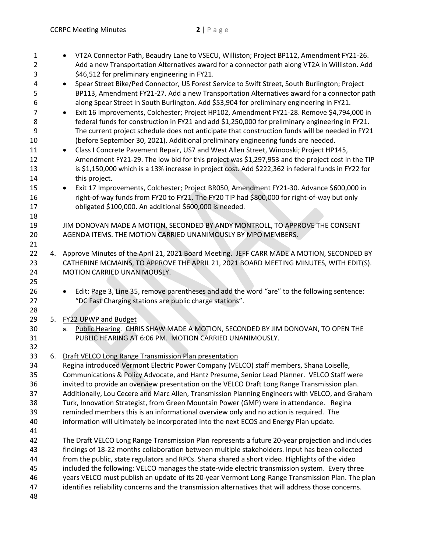| 1              | VT2A Connector Path, Beaudry Lane to VSECU, Williston; Project BP112, Amendment FY21-26.                   |
|----------------|------------------------------------------------------------------------------------------------------------|
| $\overline{2}$ | Add a new Transportation Alternatives award for a connector path along VT2A in Williston. Add              |
| 3              | \$46,512 for preliminary engineering in FY21.                                                              |
| 4              | Spear Street Bike/Ped Connector, US Forest Service to Swift Street, South Burlington; Project<br>$\bullet$ |
| 5              | BP113, Amendment FY21-27. Add a new Transportation Alternatives award for a connector path                 |
| 6              | along Spear Street in South Burlington. Add \$53,904 for preliminary engineering in FY21.                  |
| 7              | Exit 16 Improvements, Colchester; Project HP102, Amendment FY21-28. Remove \$4,794,000 in<br>$\bullet$     |
| 8              | federal funds for construction in FY21 and add \$1,250,000 for preliminary engineering in FY21.            |
| 9              | The current project schedule does not anticipate that construction funds will be needed in FY21            |
| 10             | (before September 30, 2021). Additional preliminary engineering funds are needed.                          |
| 11             | Class I Concrete Pavement Repair, US7 and West Allen Street, Winooski; Project HP145,<br>$\bullet$         |
| 12             | Amendment FY21-29. The low bid for this project was \$1,297,953 and the project cost in the TIP            |
| 13             | is \$1,150,000 which is a 13% increase in project cost. Add \$222,362 in federal funds in FY22 for         |
| 14             | this project.                                                                                              |
| 15             | Exit 17 Improvements, Colchester; Project BR050, Amendment FY21-30. Advance \$600,000 in<br>$\bullet$      |
| 16             | right-of-way funds from FY20 to FY21. The FY20 TIP had \$800,000 for right-of-way but only                 |
| 17             | obligated \$100,000. An additional \$600,000 is needed.                                                    |
| 18             |                                                                                                            |
| 19             | JIM DONOVAN MADE A MOTION, SECONDED BY ANDY MONTROLL, TO APPROVE THE CONSENT                               |
| 20             | AGENDA ITEMS. THE MOTION CARRIED UNANIMOUSLY BY MPO MEMBERS.                                               |
| 21             |                                                                                                            |
| 22             | 4. Approve Minutes of the April 21, 2021 Board Meeting. JEFF CARR MADE A MOTION, SECONDED BY               |
| 23             | CATHERINE MCMAINS, TO APPROVE THE APRIL 21, 2021 BOARD MEETING MINUTES, WITH EDIT(S).                      |
| 24             | MOTION CARRIED UNANIMOUSLY.                                                                                |
| 25             |                                                                                                            |
| 26             | Edit: Page 3, Line 35, remove parentheses and add the word "are" to the following sentence:<br>$\bullet$   |
| 27             | "DC Fast Charging stations are public charge stations".                                                    |
| 28             |                                                                                                            |
| 29             | 5. FY22 UPWP and Budget                                                                                    |
| 30             | Public Hearing. CHRIS SHAW MADE A MOTION, SECONDED BY JIM DONOVAN, TO OPEN THE<br>а.                       |
| 31             | PUBLIC HEARING AT 6:06 PM. MOTION CARRIED UNANIMOUSLY.                                                     |
| 32             |                                                                                                            |
| 33             | 6. Draft VELCO Long Range Transmission Plan presentation                                                   |
| 34             | Regina introduced Vermont Electric Power Company (VELCO) staff members, Shana Loiselle,                    |
| 35             | Communications & Policy Advocate, and Hantz Presume, Senior Lead Planner. VELCO Staff were                 |
| 36             | invited to provide an overview presentation on the VELCO Draft Long Range Transmission plan.               |
| 37             | Additionally, Lou Cecere and Marc Allen, Transmission Planning Engineers with VELCO, and Graham            |
| 38             | Turk, Innovation Strategist, from Green Mountain Power (GMP) were in attendance. Regina                    |
| 39             | reminded members this is an informational overview only and no action is required. The                     |
| 40             | information will ultimately be incorporated into the next ECOS and Energy Plan update.                     |
| 41             |                                                                                                            |
| 42             | The Draft VELCO Long Range Transmission Plan represents a future 20-year projection and includes           |
| 43             | findings of 18-22 months collaboration between multiple stakeholders. Input has been collected             |
| 44             | from the public, state regulators and RPCs. Shana shared a short video. Highlights of the video            |
| 45             | included the following: VELCO manages the state-wide electric transmission system. Every three             |
| 46             | years VELCO must publish an update of its 20-year Vermont Long-Range Transmission Plan. The plan           |
| 47             | identifies reliability concerns and the transmission alternatives that will address those concerns.        |
| 48             |                                                                                                            |
|                |                                                                                                            |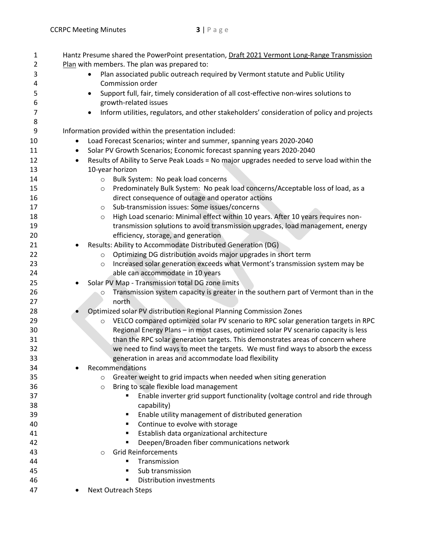| $\mathbf{1}$   |           | Hantz Presume shared the PowerPoint presentation, Draft 2021 Vermont Long-Range Transmission            |
|----------------|-----------|---------------------------------------------------------------------------------------------------------|
| $\overline{2}$ |           | Plan with members. The plan was prepared to:                                                            |
| 3              |           | Plan associated public outreach required by Vermont statute and Public Utility                          |
| 4              |           | Commission order                                                                                        |
| 5              |           | Support full, fair, timely consideration of all cost-effective non-wires solutions to                   |
| 6              |           | growth-related issues                                                                                   |
| 7              |           | Inform utilities, regulators, and other stakeholders' consideration of policy and projects<br>$\bullet$ |
| 8              |           |                                                                                                         |
| 9              |           | Information provided within the presentation included:                                                  |
| 10             | $\bullet$ | Load Forecast Scenarios; winter and summer, spanning years 2020-2040                                    |
| 11             | $\bullet$ | Solar PV Growth Scenarios; Economic forecast spanning years 2020-2040                                   |
| 12             | $\bullet$ | Results of Ability to Serve Peak Loads = No major upgrades needed to serve load within the              |
| 13             |           | 10-year horizon                                                                                         |
| 14             |           | Bulk System: No peak load concerns<br>$\circ$                                                           |
| 15             |           | Predominately Bulk System: No peak load concerns/Acceptable loss of load, as a<br>$\circ$               |
| 16             |           | direct consequence of outage and operator actions                                                       |
| 17             |           | Sub-transmission issues: Some issues/concerns<br>$\circ$                                                |
| 18             |           | High Load scenario: Minimal effect within 10 years. After 10 years requires non-<br>$\circ$             |
| 19             |           | transmission solutions to avoid transmission upgrades, load management, energy                          |
| 20             |           | efficiency, storage, and generation                                                                     |
| 21             |           | Results: Ability to Accommodate Distributed Generation (DG)                                             |
| 22             |           | Optimizing DG distribution avoids major upgrades in short term<br>$\circ$                               |
| 23             |           | Increased solar generation exceeds what Vermont's transmission system may be<br>$\circ$                 |
| 24             |           | able can accommodate in 10 years                                                                        |
| 25             |           | Solar PV Map - Transmission total DG zone limits                                                        |
| 26             |           | Transmission system capacity is greater in the southern part of Vermont than in the<br>O                |
| 27             |           | north                                                                                                   |
| 28             |           | Optimized solar PV distribution Regional Planning Commission Zones                                      |
| 29             |           | VELCO compared optimized solar PV scenario to RPC solar generation targets in RPC<br>$\circ$            |
| 30             |           | Regional Energy Plans - in most cases, optimized solar PV scenario capacity is less                     |
| 31             |           | than the RPC solar generation targets. This demonstrates areas of concern where                         |
| 32             |           | we need to find ways to meet the targets. We must find ways to absorb the excess                        |
| 33             |           | generation in areas and accommodate load flexibility                                                    |
| 34             |           | Recommendations                                                                                         |
| 35             |           | Greater weight to grid impacts when needed when siting generation<br>$\circ$                            |
| 36             |           | Bring to scale flexible load management<br>$\circ$                                                      |
| 37             |           | Enable inverter grid support functionality (voltage control and ride through                            |
| 38             |           | capability)                                                                                             |
| 39             |           | Enable utility management of distributed generation<br>٠                                                |
| 40             |           | Continue to evolve with storage<br>٠                                                                    |
| 41             |           | Establish data organizational architecture<br>٠                                                         |
| 42             |           | Deepen/Broaden fiber communications network                                                             |
| 43             |           | <b>Grid Reinforcements</b><br>$\circ$                                                                   |
| 44             |           | Transmission                                                                                            |
| 45             |           | Sub transmission                                                                                        |
| 46             |           | <b>Distribution investments</b><br>п                                                                    |
| 47             |           | Next Outreach Steps                                                                                     |
|                |           |                                                                                                         |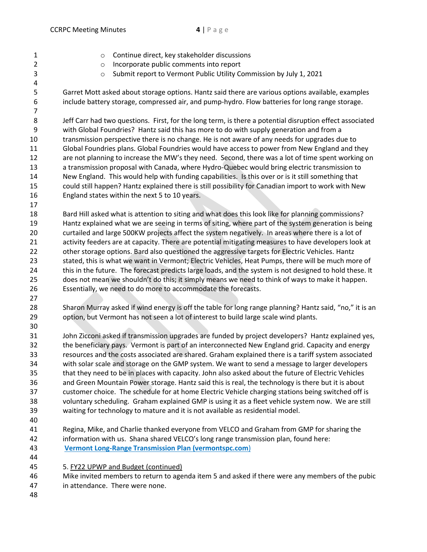- o Continue direct, key stakeholder discussions
- o Incorporate public comments into report
- o Submit report to Vermont Public Utility Commission by July 1, 2021
- Garret Mott asked about storage options. Hantz said there are various options available, examples include battery storage, compressed air, and pump-hydro. Flow batteries for long range storage.

 Jeff Carr had two questions. First, for the long term, is there a potential disruption effect associated with Global Foundries? Hantz said this has more to do with supply generation and from a transmission perspective there is no change. He is not aware of any needs for upgrades due to Global Foundries plans. Global Foundries would have access to power from New England and they are not planning to increase the MW's they need. Second, there was a lot of time spent working on a transmission proposal with Canada, where Hydro-Quebec would bring electric transmission to New England. This would help with funding capabilities. Is this over or is it still something that could still happen? Hantz explained there is still possibility for Canadian import to work with New England states within the next 5 to 10 years.

 Bard Hill asked what is attention to siting and what does this look like for planning commissions? Hantz explained what we are seeing in terms of siting, where part of the system generation is being curtailed and large 500KW projects affect the system negatively. In areas where there is a lot of activity feeders are at capacity. There are potential mitigating measures to have developers look at other storage options. Bard also questioned the aggressive targets for Electric Vehicles. Hantz stated, this is what we want in Vermont; Electric Vehicles, Heat Pumps, there will be much more of this in the future. The forecast predicts large loads, and the system is not designed to hold these. It does not mean we shouldn't do this; it simply means we need to think of ways to make it happen. Essentially, we need to do more to accommodate the forecasts.

 Sharon Murray asked if wind energy is off the table for long range planning? Hantz said, "no," it is an option, but Vermont has not seen a lot of interest to build large scale wind plants.

 John Zicconi asked if transmission upgrades are funded by project developers? Hantz explained yes, the beneficiary pays. Vermont is part of an interconnected New England grid. Capacity and energy resources and the costs associated are shared. Graham explained there is a tariff system associated with solar scale and storage on the GMP system. We want to send a message to larger developers that they need to be in places with capacity. John also asked about the future of Electric Vehicles and Green Mountain Power storage. Hantz said this is real, the technology is there but it is about customer choice. The schedule for at home Electric Vehicle charging stations being switched off is voluntary scheduling. Graham explained GMP is using it as a fleet vehicle system now. We are still waiting for technology to mature and it is not available as residential model.

- 
- Regina, Mike, and Charlie thanked everyone from VELCO and Graham from GMP for sharing the information with us. Shana shared VELCO's long range transmission plan, found here: **[Vermont Long-Range Transmission Plan \(vermontspc.com](https://www.vermontspc.com/assets/documents/2021Plan_publicreviewdraft.pdf)**)
- 5. FY22 UPWP and Budget (continued)

 Mike invited members to return to agenda item 5 and asked if there were any members of the pubic in attendance. There were none.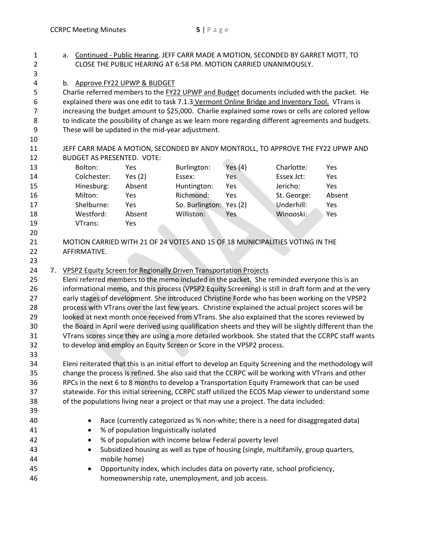| $\mathbf{1}$   | a. Continued - Public Hearing. JEFF CARR MADE A MOTION, SECONDED BY GARRET MOTT, TO                                                                                                                 |                                   |                                         |                                                                                                         |            |             |        |  |
|----------------|-----------------------------------------------------------------------------------------------------------------------------------------------------------------------------------------------------|-----------------------------------|-----------------------------------------|---------------------------------------------------------------------------------------------------------|------------|-------------|--------|--|
| $\overline{2}$ |                                                                                                                                                                                                     |                                   |                                         | CLOSE THE PUBLIC HEARING AT 6:58 PM. MOTION CARRIED UNANIMOUSLY.                                        |            |             |        |  |
| 3              |                                                                                                                                                                                                     |                                   |                                         |                                                                                                         |            |             |        |  |
| 4              |                                                                                                                                                                                                     |                                   | b. Approve FY22 UPWP & BUDGET           |                                                                                                         |            |             |        |  |
| 5              | Charlie referred members to the FY22 UPWP and Budget documents included with the packet. He                                                                                                         |                                   |                                         |                                                                                                         |            |             |        |  |
| 6              | explained there was one edit to task 7.1.3 Vermont Online Bridge and Inventory Tool. VTrans is                                                                                                      |                                   |                                         |                                                                                                         |            |             |        |  |
| $\overline{7}$ | increasing the budget amount to \$25,000. Charlie explained some rows or cells are colored yellow                                                                                                   |                                   |                                         |                                                                                                         |            |             |        |  |
| 8              | to indicate the possibility of change as we learn more regarding different agreements and budgets.                                                                                                  |                                   |                                         |                                                                                                         |            |             |        |  |
| 9              |                                                                                                                                                                                                     |                                   |                                         | These will be updated in the mid-year adjustment.                                                       |            |             |        |  |
| 10             |                                                                                                                                                                                                     |                                   |                                         |                                                                                                         |            |             |        |  |
| 11             |                                                                                                                                                                                                     |                                   |                                         | JEFF CARR MADE A MOTION, SECONDED BY ANDY MONTROLL, TO APPROVE THE FY22 UPWP AND                        |            |             |        |  |
| 12             |                                                                                                                                                                                                     | <b>BUDGET AS PRESENTED. VOTE:</b> |                                         |                                                                                                         |            |             |        |  |
| 13             |                                                                                                                                                                                                     | Bolton:                           | Yes                                     | Burlington:                                                                                             | Yes $(4)$  | Charlotte:  | Yes    |  |
| 14             |                                                                                                                                                                                                     | Colchester:                       | Yes $(2)$                               | Essex:                                                                                                  | Yes        | Essex Jct:  | Yes    |  |
| 15             |                                                                                                                                                                                                     | Hinesburg:                        | Absent                                  | Huntington:                                                                                             | Yes        | Jericho:    | Yes    |  |
| 16             |                                                                                                                                                                                                     | Milton:                           | Yes                                     | Richmond:                                                                                               | Yes        | St. George: | Absent |  |
| 17             |                                                                                                                                                                                                     | Shelburne:                        | Yes                                     | So. Burlington: Yes (2)                                                                                 |            | Underhill:  | Yes    |  |
| 18             |                                                                                                                                                                                                     | Westford:                         | Absent                                  | Williston:                                                                                              | <b>Yes</b> | Winooski:   | Yes    |  |
| 19             |                                                                                                                                                                                                     | VTrans:                           | Yes                                     |                                                                                                         |            |             |        |  |
| 20             |                                                                                                                                                                                                     |                                   |                                         |                                                                                                         |            |             |        |  |
| 21             |                                                                                                                                                                                                     |                                   |                                         | MOTION CARRIED WITH 21 OF 24 VOTES AND 15 OF 18 MUNICIPALITIES VOTING IN THE                            |            |             |        |  |
| 22             |                                                                                                                                                                                                     | AFFIRMATIVE.                      |                                         |                                                                                                         |            |             |        |  |
| 23             |                                                                                                                                                                                                     |                                   |                                         |                                                                                                         |            |             |        |  |
| 24             |                                                                                                                                                                                                     |                                   |                                         | 7. VPSP2 Equity Screen for Regionally Driven Transportation Projects                                    |            |             |        |  |
| 25             |                                                                                                                                                                                                     |                                   |                                         |                                                                                                         |            |             |        |  |
| 26             | Eleni referred members to the memo included in the packet. She reminded everyone this is an<br>informational memo, and this process (VPSP2 Equity Screening) is still in draft form and at the very |                                   |                                         |                                                                                                         |            |             |        |  |
| 27             |                                                                                                                                                                                                     |                                   |                                         | early stages of development. She introduced Christine Forde who has been working on the VPSP2           |            |             |        |  |
| 28             |                                                                                                                                                                                                     |                                   |                                         | process with VTrans over the last few years. Christine explained the actual project scores will be      |            |             |        |  |
| 29             |                                                                                                                                                                                                     |                                   |                                         | looked at next month once received from VTrans. She also explained that the scores reviewed by          |            |             |        |  |
| 30             |                                                                                                                                                                                                     |                                   |                                         | the Board in April were derived using qualification sheets and they will be slightly different than the |            |             |        |  |
| 31             |                                                                                                                                                                                                     |                                   |                                         | VTrans scores since they are using a more detailed workbook. She stated that the CCRPC staff wants      |            |             |        |  |
| 32             |                                                                                                                                                                                                     |                                   |                                         | to develop and employ an Equity Screen or Score in the VPSP2 process.                                   |            |             |        |  |
| 33             |                                                                                                                                                                                                     |                                   |                                         |                                                                                                         |            |             |        |  |
| 34             |                                                                                                                                                                                                     |                                   |                                         | Eleni reiterated that this is an initial effort to develop an Equity Screening and the methodology will |            |             |        |  |
| 35             | change the process is refined. She also said that the CCRPC will be working with VTrans and other                                                                                                   |                                   |                                         |                                                                                                         |            |             |        |  |
| 36             | RPCs in the next 6 to 8 months to develop a Transportation Equity Framework that can be used                                                                                                        |                                   |                                         |                                                                                                         |            |             |        |  |
| 37             | statewide. For this initial screening, CCRPC staff utilized the ECOS Map viewer to understand some                                                                                                  |                                   |                                         |                                                                                                         |            |             |        |  |
| 38             | of the populations living near a project or that may use a project. The data included:                                                                                                              |                                   |                                         |                                                                                                         |            |             |        |  |
| 39             |                                                                                                                                                                                                     |                                   |                                         |                                                                                                         |            |             |        |  |
| 40             |                                                                                                                                                                                                     |                                   |                                         | Race (currently categorized as % non-white; there is a need for disaggregated data)                     |            |             |        |  |
| 41             |                                                                                                                                                                                                     |                                   | % of population linguistically isolated |                                                                                                         |            |             |        |  |
| 42             |                                                                                                                                                                                                     |                                   |                                         | % of population with income below Federal poverty level                                                 |            |             |        |  |
| 43             | Subsidized housing as well as type of housing (single, multifamily, group quarters,                                                                                                                 |                                   |                                         |                                                                                                         |            |             |        |  |
| 44             |                                                                                                                                                                                                     |                                   | mobile home)                            |                                                                                                         |            |             |        |  |
| 45             |                                                                                                                                                                                                     | $\bullet$                         |                                         | Opportunity index, which includes data on poverty rate, school proficiency,                             |            |             |        |  |
| 46             |                                                                                                                                                                                                     |                                   |                                         | homeownership rate, unemployment, and job access.                                                       |            |             |        |  |
|                |                                                                                                                                                                                                     |                                   |                                         |                                                                                                         |            |             |        |  |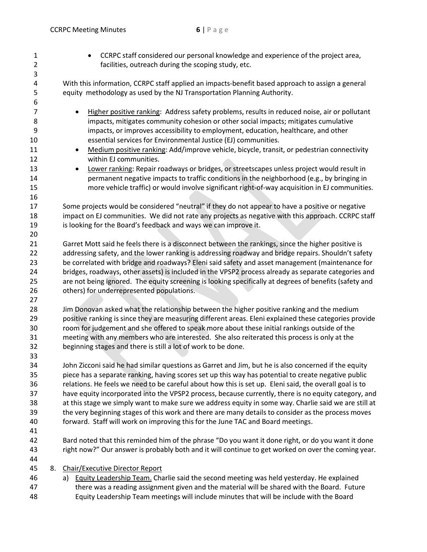• CCRPC staff considered our personal knowledge and experience of the project area, facilities, outreach during the scoping study, etc. With this information, CCRPC staff applied an impacts-benefit based approach to assign a general equity methodology as used by the NJ Transportation Planning Authority. • Higher positive ranking: Address safety problems, results in reduced noise, air or pollutant impacts, mitigates community cohesion or other social impacts; mitigates cumulative impacts, or improves accessibility to employment, education, healthcare, and other essential services for Environmental Justice (EJ) communities. 11 • Medium positive ranking: Add/improve vehicle, bicycle, transit, or pedestrian connectivity within EJ communities. 13 • Lower ranking: Repair roadways or bridges, or streetscapes unless project would result in permanent negative impacts to traffic conditions in the neighborhood (e.g., by bringing in more vehicle traffic) or would involve significant right-of-way acquisition in EJ communities. Some projects would be considered "neutral" if they do not appear to have a positive or negative 18 impact on EJ communities. We did not rate any projects as negative with this approach. CCRPC staff is looking for the Board's feedback and ways we can improve it. Garret Mott said he feels there is a disconnect between the rankings, since the higher positive is 22 addressing safety, and the lower ranking is addressing roadway and bridge repairs. Shouldn't safety be correlated with bridge and roadways? Eleni said safety and asset management (maintenance for bridges, roadways, other assets) is included in the VPSP2 process already as separate categories and are not being ignored. The equity screening is looking specifically at degrees of benefits (safety and others) for underrepresented populations. Jim Donovan asked what the relationship between the higher positive ranking and the medium positive ranking is since they are measuring different areas. Eleni explained these categories provide room for judgement and she offered to speak more about these initial rankings outside of the meeting with any members who are interested. She also reiterated this process is only at the beginning stages and there is still a lot of work to be done. John Zicconi said he had similar questions as Garret and Jim, but he is also concerned if the equity piece has a separate ranking, having scores set up this way has potential to create negative public relations. He feels we need to be careful about how this is set up. Eleni said, the overall goal is to have equity incorporated into the VPSP2 process, because currently, there is no equity category, and at this stage we simply want to make sure we address equity in some way. Charlie said we are still at the very beginning stages of this work and there are many details to consider as the process moves forward. Staff will work on improving this for the June TAC and Board meetings. Bard noted that this reminded him of the phrase "Do you want it done right, or do you want it done right now?" Our answer is probably both and it will continue to get worked on over the coming year. 8. Chair/Executive Director Report 46 a) Equity Leadership Team. Charlie said the second meeting was held yesterday. He explained there was a reading assignment given and the material will be shared with the Board. Future Equity Leadership Team meetings will include minutes that will be include with the Board